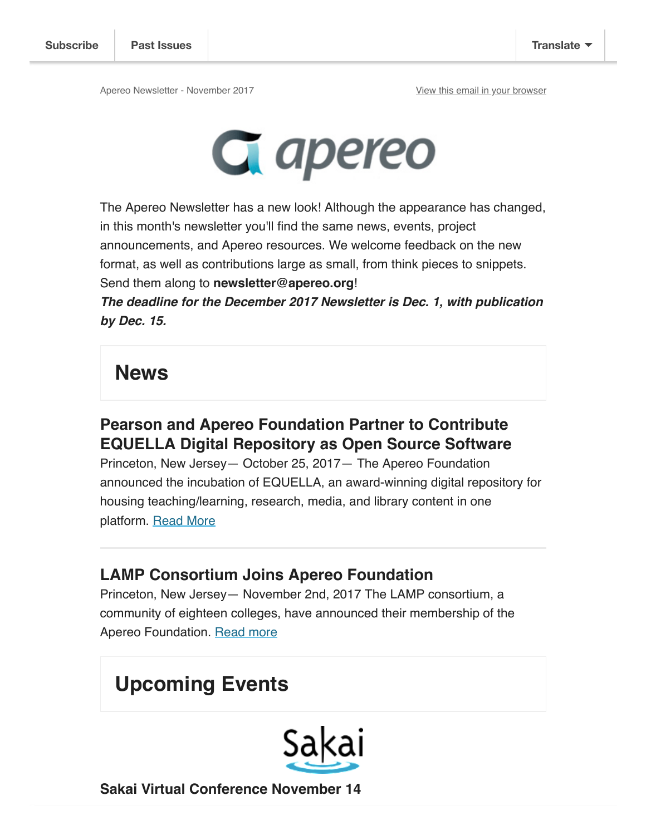

The Apereo Newsletter has a new look! Although the appearance has changed, in this month's newsletter you'll find the same news, events, project announcements, and Apereo resources. We welcome feedback on the new format, as well as contributions large as small, from think pieces to snippets. Send them along to **newsletter@apereo.org**!

**The deadline for the December 2017 Newsletter is Dec. 1, with publication by Dec. 15.** 

# **News**

### **Pearson and Apereo Foundation Partner to Contribute EQUELLA Digital Repository as Open Source Software**

Princeton, New Jersey— October 25, 2017— The Apereo Foundation announced the incubation of EQUELLA, an award-winning digital repository for housing teaching/learning, research, media, and library content in one platform. Read More

#### **LAMP Consortium Joins Apereo Foundation**

Princeton, New Jersey— November 2nd, 2017 The LAMP consortium, a community of eighteen colleges, have announced their membership of the Apereo Foundation. Read more

# **Upcoming Events**



**Sakai Virtual Conference November 14**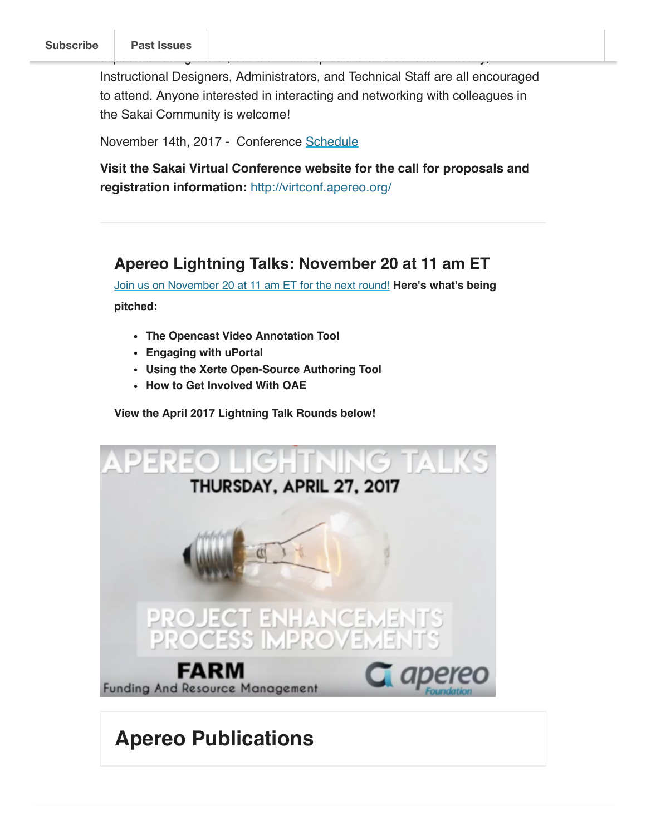Instructional Designers, Administrators, and Technical Staff are all encouraged to attend. Anyone interested in interacting and networking with colleagues in the Sakai Community is welcome!

as pectrolectrical topics of using Sakai, but technical topics are also covered. Faculty,  $\eta$ 

November 14th, 2017 - Conference Schedule

**Visit the Sakai Virtual Conference website for the call for proposals and registration information:** http://virtconf.apereo.org/

#### **Apereo Lightning Talks: November 20 at 11 am ET**

Join us on November 20 at 11 am ET for the next round! **Here's what's being pitched:** 

- **The Opencast Video Annotation Tool**
- **Engaging with uPortal**
- **Using the Xerte Open-Source Authoring Tool**
- **How to Get Involved With OAE**

**View the April 2017 Lightning Talk Rounds below!**



# **Apereo Publications**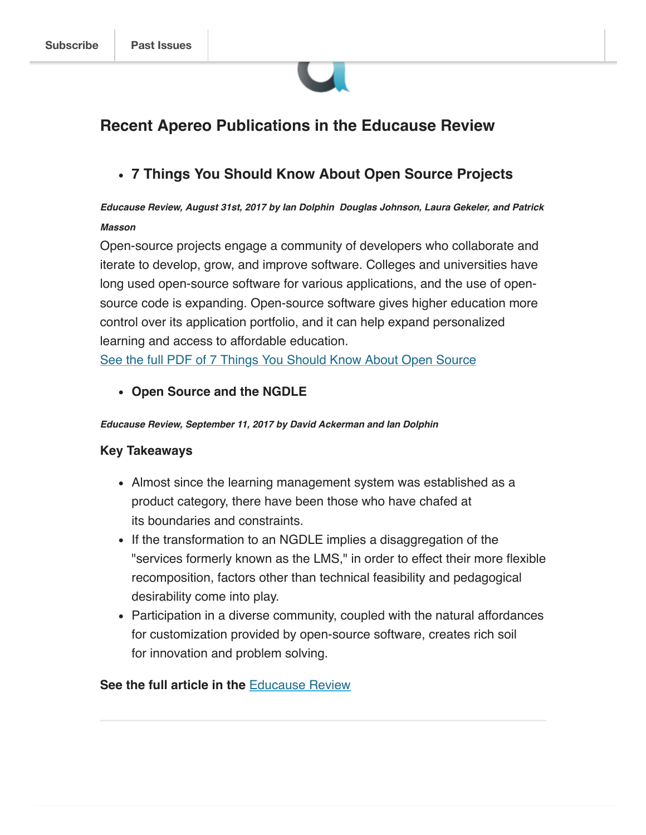

#### **Recent Apereo Publications in the Educause Review**

**7 Things You Should Know About Open Source Projects**

#### **Educause Review, August 31st, 2017 by Ian Dolphin Douglas Johnson, Laura Gekeler, and Patrick Masson**

Open-source projects engage a community of developers who collaborate and iterate to develop, grow, and improve software. Colleges and universities have long used open-source software for various applications, and the use of opensource code is expanding. Open-source software gives higher education more control over its application portfolio, and it can help expand personalized learning and access to affordable education.

See the full PDF of 7 Things You Should Know About Open Source

**Open Source and the NGDLE**

**Educause Review, September 11, 2017 by David Ackerman and Ian Dolphin**

#### **Key Takeaways**

- Almost since the learning management system was established as a product category, there have been those who have chafed at its boundaries and constraints.
- If the transformation to an NGDLE implies a disaggregation of the "services formerly known as the LMS," in order to effect their more flexible recomposition, factors other than technical feasibility and pedagogical desirability come into play.
- Participation in a diverse community, coupled with the natural affordances for customization provided by open-source software, creates rich soil for innovation and problem solving.

#### **See the full article in the** Educause Review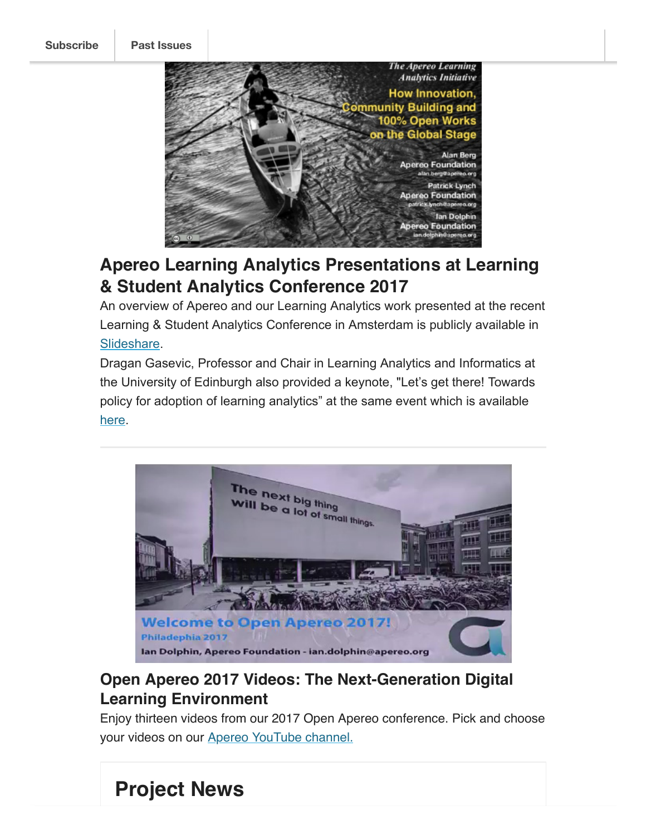**Subscribe Past Issues**



# **Apereo Learning Analytics Presentations at Learning & Student Analytics Conference 2017**

An overview of Apereo and our Learning Analytics work presented at the recent Learning & Student Analytics Conference in Amsterdam is publicly available in Slideshare.

Dragan Gasevic, Professor and Chair in Learning Analytics and Informatics at the University of Edinburgh also provided a keynote, "Let's get there! Towards policy for adoption of learning analytics" at the same event which is available here.



## **Open Apereo 2017 Videos: The Next-Generation Digital Learning Environment**

Enjoy thirteen videos from our 2017 Open Apereo conference. Pick and choose your videos on our Apereo YouTube channel.

# **Project News**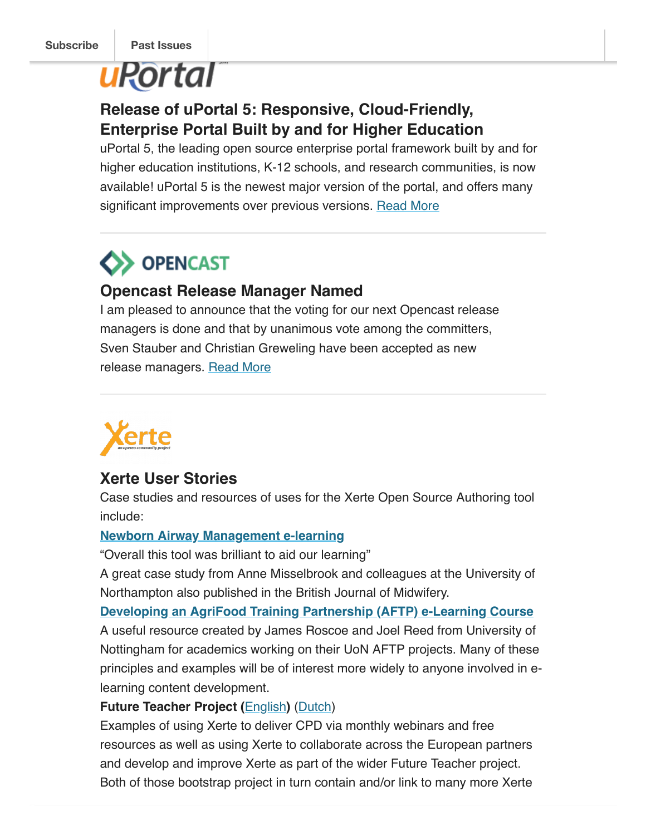# **uRortal**

### **Release of uPortal 5: Responsive, Cloud-Friendly, Enterprise Portal Built by and for Higher Education**

uPortal 5, the leading open source enterprise portal framework built by and for higher education institutions, K-12 schools, and research communities, is now available! uPortal 5 is the newest major version of the portal, and offers many significant improvements over previous versions. Read More

# **BENCAST**

#### **Opencast Release Manager Named**

I am pleased to announce that the voting for our next Opencast release managers is done and that by unanimous vote among the committers, Sven Stauber and Christian Greweling have been accepted as new release managers. Read More



#### **Xerte User Stories**

Case studies and resources of uses for the Xerte Open Source Authoring tool include:

#### **Newborn Airway Management e-learning**

"Overall this tool was brilliant to aid our learning"

A great case study from Anne Misselbrook and colleagues at the University of Northampton also published in the British Journal of Midwifery.

**Developing an AgriFood Training Partnership (AFTP) e-Learning Course** A useful resource created by James Roscoe and Joel Reed from University of Nottingham for academics working on their UoN AFTP projects. Many of these principles and examples will be of interest more widely to anyone involved in elearning content development.

#### **Future Teacher Project (**English**)** (Dutch)

Examples of using Xerte to deliver CPD via monthly webinars and free resources as well as using Xerte to collaborate across the European partners and develop and improve Xerte as part of the wider Future Teacher project. Both of those bootstrap project in turn contain and/or link to many more Xerte